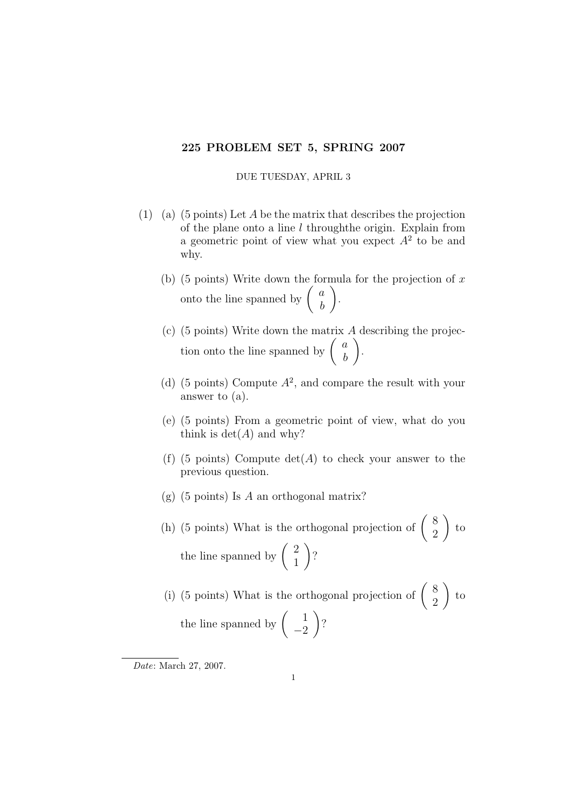## 225 PROBLEM SET 5, SPRING 2007

## DUE TUESDAY, APRIL 3

- (1) (a) (5 points) Let A be the matrix that describes the projection of the plane onto a line  $l$  throughthe origin. Explain from a geometric point of view what you expect  $A<sup>2</sup>$  to be and why.
	- (b) (5 points) Write down the formula for the projection of  $x$ onto the line spanned by  $\begin{pmatrix} a \\ b \end{pmatrix}$ b  $\setminus$ .
	- (c) (5 points) Write down the matrix  $\vec{A}$  describing the projection onto the line spanned by  $\begin{pmatrix} a \\ b \end{pmatrix}$ b  $\setminus$ .
	- (d) (5 points) Compute  $A^2$ , and compare the result with your answer to (a).
	- (e) (5 points) From a geometric point of view, what do you think is  $\det(A)$  and why?
	- (f) (5 points) Compute  $det(A)$  to check your answer to the previous question.
	- $(g)$  (5 points) Is A an orthogonal matrix?
	- (h) (5 points) What is the orthogonal projection of  $\begin{pmatrix} 8 \\ 2 \end{pmatrix}$ 2  $\setminus$ to the line spanned by  $\begin{pmatrix} 2 \\ 1 \end{pmatrix}$ 1  $\setminus$ ?

(i) (5 points) What is the orthogonal projection of  $\begin{pmatrix} 8 \\ 2 \end{pmatrix}$ 2  $\setminus$ to the line spanned by  $\begin{pmatrix} 1 \\ 2 \end{pmatrix}$ −2  $\setminus$ ?

Date: March 27, 2007.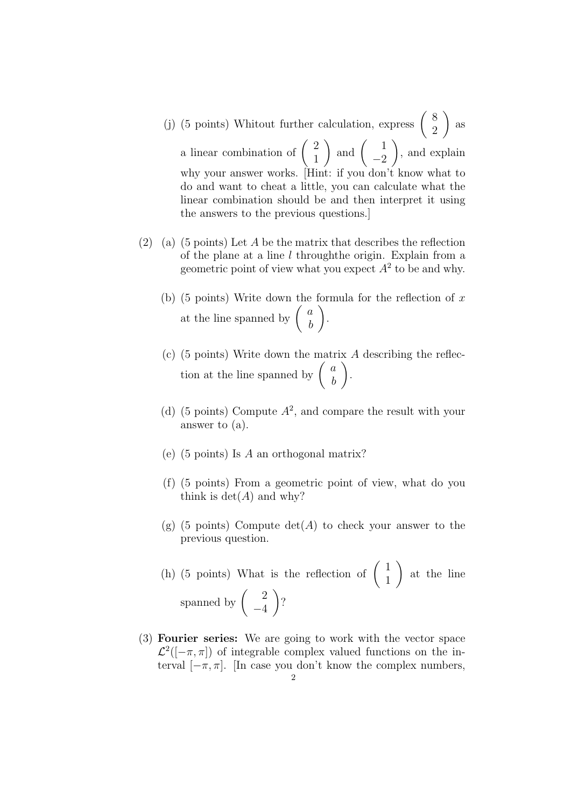- (j) (5 points) Whitout further calculation, express  $\begin{pmatrix} 8 \\ 2 \end{pmatrix}$ 2  $\setminus$ as a linear combination of  $\begin{pmatrix} 2 \\ 1 \end{pmatrix}$ 1 ) and  $\begin{pmatrix} 1 \\ 2 \end{pmatrix}$  $-2$  $\setminus$ , and explain why your answer works. [Hint: if you don't know what to do and want to cheat a little, you can calculate what the linear combination should be and then interpret it using the answers to the previous questions.]
- (2) (a) (5 points) Let A be the matrix that describes the reflection of the plane at a line  $l$  through the origin. Explain from a geometric point of view what you expect  $A<sup>2</sup>$  to be and why.
	- (b) (5 points) Write down the formula for the reflection of  $x$ at the line spanned by  $\begin{pmatrix} a \\ b \end{pmatrix}$ b  $\setminus$ .
	- (c) (5 points) Write down the matrix A describing the reflection at the line spanned by  $\begin{pmatrix} a \\ b \end{pmatrix}$ b  $\setminus$ .
	- (d) (5 points) Compute  $A^2$ , and compare the result with your answer to (a).
	- (e) (5 points) Is A an orthogonal matrix?
	- (f) (5 points) From a geometric point of view, what do you think is  $\det(A)$  and why?
	- (g) (5 points) Compute  $\det(A)$  to check your answer to the previous question.
	- (h) (5 points) What is the reflection of  $\begin{pmatrix} 1 \\ 1 \end{pmatrix}$ 1  $\setminus$ at the line spanned by  $\begin{pmatrix} 2 \\ 4 \end{pmatrix}$ −4  $\setminus$ ?
- (3) Fourier series: We are going to work with the vector space  $\mathcal{L}^2(-\pi,\pi)$  of integrable complex valued functions on the interval  $[-\pi, \pi]$ . [In case you don't know the complex numbers,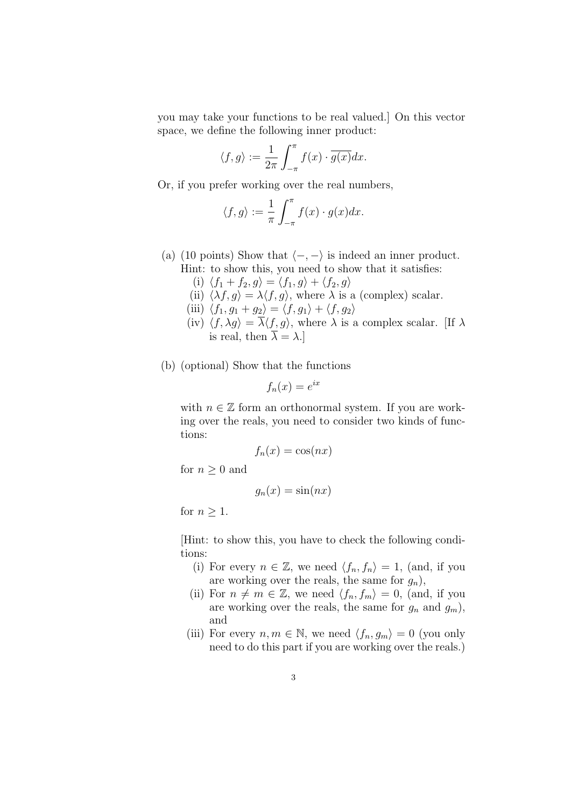you may take your functions to be real valued.] On this vector space, we define the following inner product:

$$
\langle f, g \rangle := \frac{1}{2\pi} \int_{-\pi}^{\pi} f(x) \cdot \overline{g(x)} dx.
$$

Or, if you prefer working over the real numbers,

$$
\langle f, g \rangle := \frac{1}{\pi} \int_{-\pi}^{\pi} f(x) \cdot g(x) dx.
$$

- (a) (10 points) Show that  $\langle -, \rangle$  is indeed an inner product. Hint: to show this, you need to show that it satisfies:
	- (i)  $\langle f_1 + f_2, g \rangle = \langle f_1, g \rangle + \langle f_2, g \rangle$
	- (ii)  $\langle \lambda f, g \rangle = \lambda \langle f, g \rangle$ , where  $\lambda$  is a (complex) scalar.
	- (iii)  $\langle f_1, g_1 + g_2 \rangle = \langle f, g_1 \rangle + \langle f, g_2 \rangle$
	- (iv)  $\langle f, \lambda g \rangle = \frac{\Delta f}{\lambda \langle f, g \rangle}$ , where  $\lambda$  is a complex scalar. [If  $\lambda$ is real, then  $\lambda = \lambda$ .
- (b) (optional) Show that the functions

$$
f_n(x) = e^{ix}
$$

with  $n \in \mathbb{Z}$  form an orthonormal system. If you are working over the reals, you need to consider two kinds of functions:

$$
f_n(x) = \cos(nx)
$$

for  $n \geq 0$  and

$$
g_n(x) = \sin(nx)
$$

for  $n \geq 1$ .

[Hint: to show this, you have to check the following conditions:

- (i) For every  $n \in \mathbb{Z}$ , we need  $\langle f_n, f_n \rangle = 1$ , (and, if you are working over the reals, the same for  $g_n$ ),
- (ii) For  $n \neq m \in \mathbb{Z}$ , we need  $\langle f_n, f_m \rangle = 0$ , (and, if you are working over the reals, the same for  $g_n$  and  $g_m$ ), and
- (iii) For every  $n, m \in \mathbb{N}$ , we need  $\langle f_n, g_m \rangle = 0$  (you only need to do this part if you are working over the reals.)